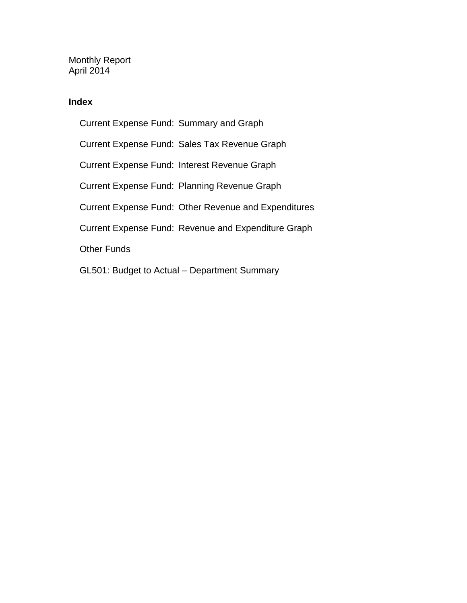Monthly Report April 2014

#### **Index**

Current Expense Fund: Summary and Graph Current Expense Fund: Sales Tax Revenue Graph Current Expense Fund: Interest Revenue Graph Current Expense Fund: Planning Revenue Graph Current Expense Fund: Other Revenue and Expenditures Current Expense Fund: Revenue and Expenditure Graph Other Funds GL501: Budget to Actual – Department Summary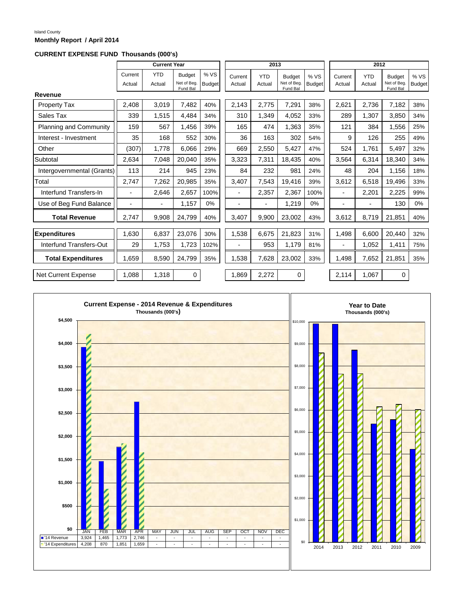#### Island County **Monthly Report / April 2014**

#### **CURRENT EXPENSE FUND Thousands (000's)**

|                            |                          | <b>Current Year</b>  |                                          |                      |                   | 2013                     |                                          |                       |                   | 2012                     |                                         |                       |  |
|----------------------------|--------------------------|----------------------|------------------------------------------|----------------------|-------------------|--------------------------|------------------------------------------|-----------------------|-------------------|--------------------------|-----------------------------------------|-----------------------|--|
|                            | Current<br>Actual        | <b>YTD</b><br>Actual | <b>Budget</b><br>Net of Beg.<br>Fund Bal | %VS<br><b>Budget</b> | Current<br>Actual | <b>YTD</b><br>Actual     | <b>Budget</b><br>Net of Beg.<br>Fund Bal | % VS<br><b>Budget</b> | Current<br>Actual | <b>YTD</b><br>Actual     | <b>Budget</b><br>Net of Beg<br>Fund Bal | % VS<br><b>Budget</b> |  |
| Revenue                    |                          |                      |                                          |                      |                   |                          |                                          |                       |                   |                          |                                         |                       |  |
| <b>Property Tax</b>        | 2,408                    | 3,019                | 7,482                                    | 40%                  | 2,143             | 2,775                    | 7,291                                    | 38%                   | 2,621             | 2,736                    | 7,182                                   | 38%                   |  |
| Sales Tax                  | 339                      | 1,515                | 4,484                                    | 34%                  | 310               | 1,349                    | 4,052                                    | 33%                   | 289               | 1,307                    | 3,850                                   | 34%                   |  |
| Planning and Community     | 159                      | 567                  | 1,456                                    | 39%                  | 165               | 474                      | 1,363                                    | 35%                   | 121               | 384                      | 1,556                                   | 25%                   |  |
| Interest - Investment      | 35                       | 168                  | 552                                      | 30%                  | 36                | 163                      | 302                                      | 54%                   | 9                 | 126                      | 255                                     | 49%                   |  |
| Other                      | (307)                    | 1,778                | 6,066                                    | 29%                  | 669               | 2,550                    | 5,427                                    | 47%                   | 524               | 1,761                    | 5,497                                   | 32%                   |  |
| Subtotal                   | 2,634                    | 7.048                | 20,040                                   | 35%                  | 3,323             | 7,311                    | 18,435                                   | 40%                   | 3,564             | 6,314                    | 18,340                                  | 34%                   |  |
| Intergovernmental (Grants) | 113                      | 214                  | 945                                      | 23%                  | 84                | 232                      | 981                                      | 24%                   | 48                | 204                      | 1,156                                   | 18%                   |  |
| Total                      | 2,747                    | 7,262                | 20,985                                   | 35%                  | 3,407             | 7,543                    | 19,416                                   | 39%                   | 3,612             | 6,518                    | 19,496                                  | 33%                   |  |
| Interfund Transfers-In     | $\overline{\phantom{0}}$ | 2,646                | 2,657                                    | 100%                 | $\blacksquare$    | 2,357                    | 2,367                                    | 100%                  | $\blacksquare$    | 2,201                    | 2,225                                   | 99%                   |  |
| Use of Beg Fund Balance    | $\blacksquare$           |                      | 1,157                                    | 0%                   |                   | $\overline{\phantom{a}}$ | 1,219                                    | 0%                    | $\blacksquare$    | $\overline{\phantom{a}}$ | 130                                     | 0%                    |  |
| <b>Total Revenue</b>       | 2,747                    | 9,908                | 24,799                                   | 40%                  | 3,407             | 9,900                    | 23,002                                   | 43%                   | 3,612             | 8.719                    | 21,851                                  | 40%                   |  |
| <b>Expenditures</b>        | 1,630                    | 6,837                | 23,076                                   | 30%                  | 1,538             | 6,675                    | 21,823                                   | 31%                   | 1,498             | 6,600                    | 20,440                                  | 32%                   |  |
| Interfund Transfers-Out    | 29                       | 1,753                | 1,723                                    | 102%                 | $\blacksquare$    | 953                      | 1,179                                    | 81%                   | $\blacksquare$    | 1,052                    | 1,411                                   | 75%                   |  |
| <b>Total Expenditures</b>  | 1.659                    | 8,590                | 24,799                                   | 35%                  | 1,538             | 7,628                    | 23,002                                   | 33%                   | 1,498             | 7,652                    | 21,851                                  | 35%                   |  |
| Net Current Expense        | 1.088                    | 1,318                | 0                                        |                      | 1,869             | 2,272                    | $\mathbf 0$                              |                       | 2,114             | 1,067                    | 0                                       |                       |  |

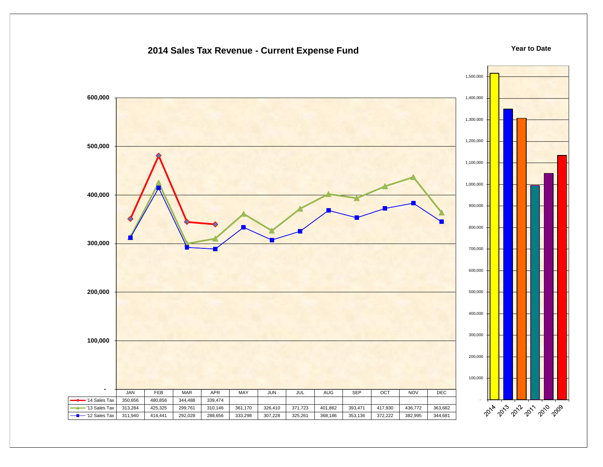#### **2014 Sales Tax Revenue - Current Expense Fund**

#### **Year to Date**

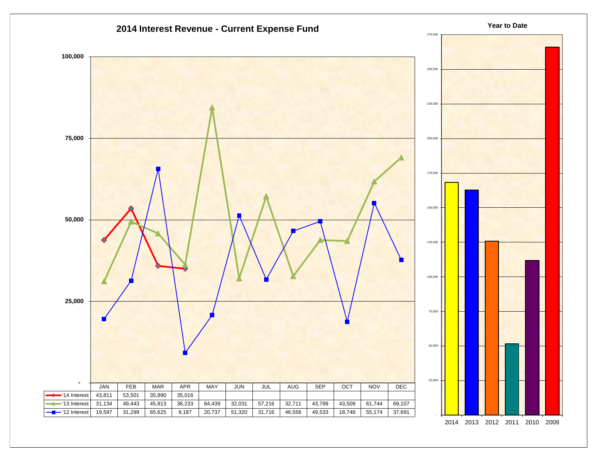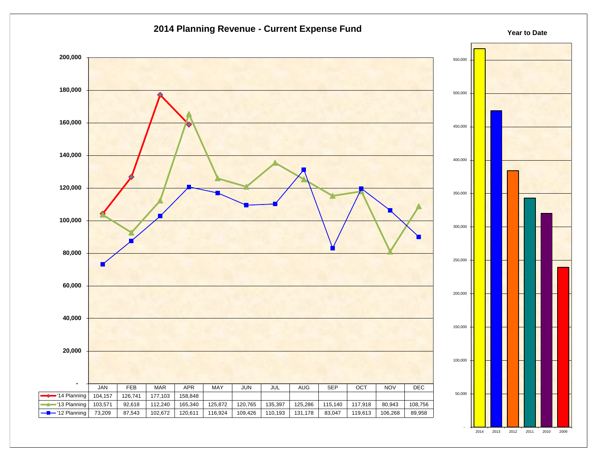

2014 2013 2012 2011 2010 2009

-

**Year to Date**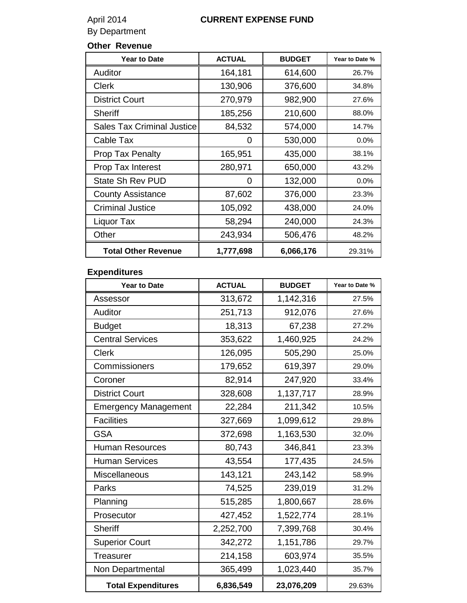# By Department

# April 2014 **CURRENT EXPENSE FUND**

# **Other Revenue**

| <b>Year to Date</b>               | <b>ACTUAL</b> | <b>BUDGET</b> | Year to Date % |
|-----------------------------------|---------------|---------------|----------------|
| Auditor                           | 164,181       | 614,600       | 26.7%          |
| <b>Clerk</b>                      | 130,906       | 376,600       | 34.8%          |
| <b>District Court</b>             | 270,979       | 982,900       | 27.6%          |
| <b>Sheriff</b>                    | 185,256       | 210,600       | 88.0%          |
| <b>Sales Tax Criminal Justice</b> | 84,532        | 574,000       | 14.7%          |
| Cable Tax                         | O             | 530,000       | 0.0%           |
| <b>Prop Tax Penalty</b>           | 165,951       | 435,000       | 38.1%          |
| <b>Prop Tax Interest</b>          | 280,971       | 650,000       | 43.2%          |
| State Sh Rev PUD                  | 0             | 132,000       | $0.0\%$        |
| <b>County Assistance</b>          | 87,602        | 376,000       | 23.3%          |
| <b>Criminal Justice</b>           | 105,092       | 438,000       | 24.0%          |
| Liquor Tax                        | 58,294        | 240,000       | 24.3%          |
| Other                             | 243,934       | 506,476       | 48.2%          |
| <b>Total Other Revenue</b>        | 1,777,698     | 6,066,176     | 29.31%         |

# **Expenditures**

| <b>Year to Date</b>         | <b>ACTUAL</b> | <b>BUDGET</b> | Year to Date % |
|-----------------------------|---------------|---------------|----------------|
| Assessor                    | 313,672       | 1,142,316     | 27.5%          |
| Auditor                     | 251,713       | 912,076       | 27.6%          |
| <b>Budget</b>               | 18,313        | 67,238        | 27.2%          |
| <b>Central Services</b>     | 353,622       | 1,460,925     | 24.2%          |
| <b>Clerk</b>                | 126,095       | 505,290       | 25.0%          |
| Commissioners               | 179,652       | 619,397       | 29.0%          |
| Coroner                     | 82,914        | 247,920       | 33.4%          |
| <b>District Court</b>       | 328,608       | 1,137,717     | 28.9%          |
| <b>Emergency Management</b> | 22,284        | 211,342       | 10.5%          |
| <b>Facilities</b>           | 327,669       | 1,099,612     | 29.8%          |
| <b>GSA</b>                  | 372,698       | 1,163,530     | 32.0%          |
| <b>Human Resources</b>      | 80,743        | 346,841       | 23.3%          |
| <b>Human Services</b>       | 43,554        | 177,435       | 24.5%          |
| <b>Miscellaneous</b>        | 143,121       | 243,142       | 58.9%          |
| Parks                       | 74,525        | 239,019       | 31.2%          |
| Planning                    | 515,285       | 1,800,667     | 28.6%          |
| Prosecutor                  | 427,452       | 1,522,774     | 28.1%          |
| <b>Sheriff</b>              | 2,252,700     | 7,399,768     | 30.4%          |
| <b>Superior Court</b>       | 342,272       | 1,151,786     | 29.7%          |
| <b>Treasurer</b>            | 214,158       | 603,974       | 35.5%          |
| Non Departmental            | 365,499       | 1,023,440     | 35.7%          |
| <b>Total Expenditures</b>   | 6,836,549     | 23,076,209    | 29.63%         |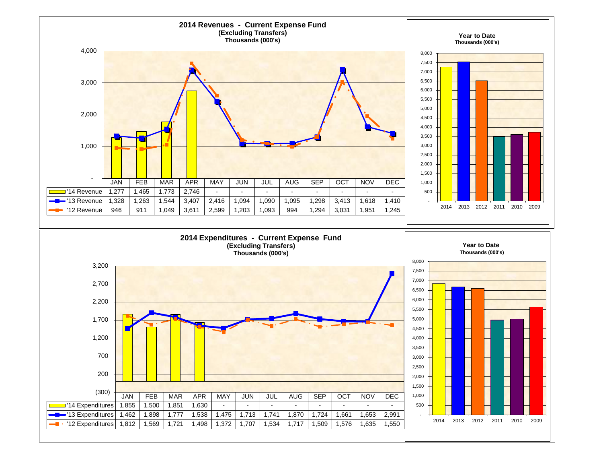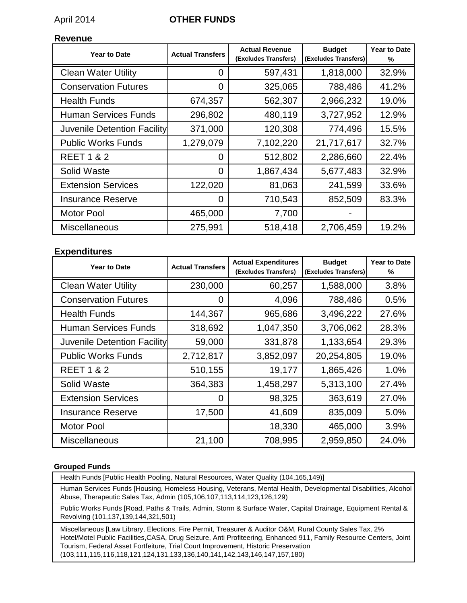### April 2014 **OTHER FUNDS**

#### **Revenue**

| <b>Year to Date</b>         | <b>Actual Transfers</b> | <b>Actual Revenue</b><br>(Excludes Transfers) | <b>Budget</b><br>(Excludes Transfers) | <b>Year to Date</b><br>% |
|-----------------------------|-------------------------|-----------------------------------------------|---------------------------------------|--------------------------|
| <b>Clean Water Utility</b>  | 0                       | 597,431                                       | 1,818,000                             | 32.9%                    |
| <b>Conservation Futures</b> | $\overline{0}$          | 325,065                                       | 788,486                               | 41.2%                    |
| <b>Health Funds</b>         | 674,357                 | 562,307                                       | 2,966,232                             | 19.0%                    |
| <b>Human Services Funds</b> | 296,802                 | 480,119                                       | 3,727,952                             | 12.9%                    |
| Juvenile Detention Facility | 371,000                 | 120,308                                       | 774,496                               | 15.5%                    |
| <b>Public Works Funds</b>   | 1,279,079               | 7,102,220                                     | 21,717,617                            | 32.7%                    |
| <b>REET 1 &amp; 2</b>       | $\Omega$                | 512,802                                       | 2,286,660                             | 22.4%                    |
| Solid Waste                 | 0                       | 1,867,434                                     | 5,677,483                             | 32.9%                    |
| <b>Extension Services</b>   | 122,020                 | 81,063                                        | 241,599                               | 33.6%                    |
| <b>Insurance Reserve</b>    | $\overline{0}$          | 710,543                                       | 852,509                               | 83.3%                    |
| <b>Motor Pool</b>           | 465,000                 | 7,700                                         |                                       |                          |
| Miscellaneous               | 275,991                 | 518,418                                       | 2,706,459                             | 19.2%                    |

#### **Expenditures**

| <b>Year to Date</b>         | <b>Actual Transfers</b> | <b>Actual Expenditures</b><br>(Excludes Transfers) | <b>Budget</b><br>(Excludes Transfers) | <b>Year to Date</b><br>% |
|-----------------------------|-------------------------|----------------------------------------------------|---------------------------------------|--------------------------|
| <b>Clean Water Utility</b>  | 230,000                 | 60,257                                             | 1,588,000                             | 3.8%                     |
| <b>Conservation Futures</b> | 0                       | 4,096                                              | 788,486                               | 0.5%                     |
| <b>Health Funds</b>         | 144,367                 | 965,686                                            | 3,496,222                             | 27.6%                    |
| <b>Human Services Funds</b> | 318,692                 | 1,047,350                                          | 3,706,062                             | 28.3%                    |
| Juvenile Detention Facility | 59,000                  | 331,878                                            | 1,133,654                             | 29.3%                    |
| <b>Public Works Funds</b>   | 2,712,817               | 3,852,097                                          | 20,254,805                            | 19.0%                    |
| <b>REET 1 &amp; 2</b>       | 510,155                 | 19,177                                             | 1,865,426                             | 1.0%                     |
| Solid Waste                 | 364,383                 | 1,458,297                                          | 5,313,100                             | 27.4%                    |
| <b>Extension Services</b>   | 0                       | 98,325                                             | 363,619                               | 27.0%                    |
| <b>Insurance Reserve</b>    | 17,500                  | 41,609                                             | 835,009                               | 5.0%                     |
| <b>Motor Pool</b>           |                         | 18,330                                             | 465,000                               | 3.9%                     |
| Miscellaneous               | 21,100                  | 708,995                                            | 2,959,850                             | 24.0%                    |

#### **Grouped Funds**

Health Funds [Public Health Pooling, Natural Resources, Water Quality (104,165,149)]

Human Services Funds [Housing, Homeless Housing, Veterans, Mental Health, Developmental Disabilities, Alcohol Abuse, Therapeutic Sales Tax, Admin (105,106,107,113,114,123,126,129)

Public Works Funds [Road, Paths & Trails, Admin, Storm & Surface Water, Capital Drainage, Equipment Rental & Revolving (101,137,139,144,321,501)

Miscellaneous [Law Library, Elections, Fire Permit, Treasurer & Auditor O&M, Rural County Sales Tax, 2% Hotel/Motel Public Facilities,CASA, Drug Seizure, Anti Profiteering, Enhanced 911, Family Resource Centers, Joint Tourism, Federal Asset Fortfeiture, Trial Court Improvement, Historic Preservation (103,111,115,116,118,121,124,131,133,136,140,141,142,143,146,147,157,180)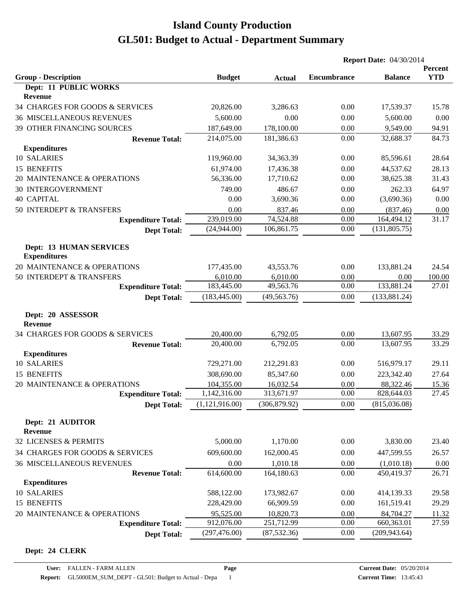|                                                       |                |               | <b>Report Date: 04/30/2014</b> |                |                       |
|-------------------------------------------------------|----------------|---------------|--------------------------------|----------------|-----------------------|
| <b>Group - Description</b>                            | <b>Budget</b>  | <b>Actual</b> | <b>Encumbrance</b>             | <b>Balance</b> | Percent<br><b>YTD</b> |
| Dept: 11 PUBLIC WORKS                                 |                |               |                                |                |                       |
| Revenue                                               |                |               |                                |                |                       |
| 34 CHARGES FOR GOODS & SERVICES                       | 20,826.00      | 3,286.63      | 0.00                           | 17,539.37      | 15.78                 |
| <b>36 MISCELLANEOUS REVENUES</b>                      | 5,600.00       | 0.00          | 0.00                           | 5,600.00       | 0.00                  |
| 39 OTHER FINANCING SOURCES                            | 187,649.00     | 178,100.00    | 0.00                           | 9,549.00       | 94.91                 |
| <b>Revenue Total:</b>                                 | 214,075.00     | 181,386.63    | 0.00                           | 32,688.37      | 84.73                 |
| <b>Expenditures</b>                                   |                |               |                                |                |                       |
| 10 SALARIES                                           | 119,960.00     | 34,363.39     | 0.00                           | 85,596.61      | 28.64                 |
| 15 BENEFITS                                           | 61,974.00      | 17,436.38     | 0.00                           | 44,537.62      | 28.13                 |
| 20 MAINTENANCE & OPERATIONS                           | 56,336.00      | 17,710.62     | 0.00                           | 38,625.38      | 31.43                 |
| <b>30 INTERGOVERNMENT</b>                             | 749.00         | 486.67        | 0.00                           | 262.33         | 64.97                 |
| <b>40 CAPITAL</b>                                     | 0.00           | 3,690.36      | 0.00                           | (3,690.36)     | 0.00                  |
| 50 INTERDEPT & TRANSFERS                              | 0.00           | 837.46        | 0.00                           | (837.46)       | 0.00                  |
| <b>Expenditure Total:</b>                             | 239,019.00     | 74,524.88     | 0.00                           | 164,494.12     | 31.17                 |
| <b>Dept Total:</b>                                    | (24,944.00)    | 106,861.75    | 0.00                           | (131, 805.75)  |                       |
| <b>Dept: 13 HUMAN SERVICES</b><br><b>Expenditures</b> |                |               |                                |                |                       |
| 20 MAINTENANCE & OPERATIONS                           | 177,435.00     | 43,553.76     | 0.00                           | 133,881.24     | 24.54                 |
| 50 INTERDEPT & TRANSFERS                              | 6,010.00       | 6,010.00      | 0.00                           | 0.00           | 100.00                |
| <b>Expenditure Total:</b>                             | 183,445.00     | 49,563.76     | 0.00                           | 133,881.24     | 27.01                 |
| <b>Dept Total:</b>                                    | (183, 445.00)  | (49, 563.76)  | 0.00                           | (133, 881.24)  |                       |
| Dept: 20 ASSESSOR<br>Revenue                          |                |               |                                |                |                       |
| 34 CHARGES FOR GOODS & SERVICES                       | 20,400.00      | 6,792.05      | 0.00                           | 13,607.95      | 33.29                 |
| <b>Revenue Total:</b>                                 | 20,400.00      | 6,792.05      | 0.00                           | 13,607.95      | 33.29                 |
| <b>Expenditures</b>                                   |                |               |                                |                |                       |
| 10 SALARIES                                           | 729,271.00     | 212,291.83    | 0.00                           | 516,979.17     | 29.11                 |
| 15 BENEFITS                                           | 308,690.00     | 85,347.60     | 0.00                           | 223,342.40     | 27.64                 |
| 20 MAINTENANCE & OPERATIONS                           | 104,355.00     | 16,032.54     | 0.00                           | 88,322.46      | 15.36                 |
| <b>Expenditure Total:</b>                             | 1,142,316.00   | 313,671.97    | 0.00                           | 828,644.03     | 27.45                 |
| <b>Dept Total:</b>                                    | (1,121,916.00) | (306, 879.92) | 0.00                           | (815,036.08)   |                       |
| Dept: 21 AUDITOR<br><b>Revenue</b>                    |                |               |                                |                |                       |
| 32 LICENSES & PERMITS                                 | 5,000.00       | 1,170.00      | 0.00                           | 3,830.00       | 23.40                 |
| 34 CHARGES FOR GOODS & SERVICES                       | 609,600.00     | 162,000.45    | 0.00                           | 447,599.55     | 26.57                 |
| <b>36 MISCELLANEOUS REVENUES</b>                      | 0.00           | 1,010.18      | 0.00                           | (1,010.18)     | 0.00                  |
| <b>Revenue Total:</b>                                 | 614,600.00     | 164,180.63    | 0.00                           | 450,419.37     | 26.71                 |
| <b>Expenditures</b>                                   |                |               |                                |                |                       |
| 10 SALARIES                                           | 588,122.00     | 173,982.67    | 0.00                           | 414,139.33     | 29.58                 |
| 15 BENEFITS                                           | 228,429.00     | 66,909.59     | 0.00                           | 161,519.41     | 29.29                 |
| 20 MAINTENANCE & OPERATIONS                           | 95,525.00      | 10,820.73     | 0.00                           | 84,704.27      | 11.32                 |
| <b>Expenditure Total:</b>                             | 912,076.00     | 251,712.99    | 0.00                           | 660,363.01     | 27.59                 |
| <b>Dept Total:</b>                                    | (297, 476.00)  | (87, 532.36)  | 0.00                           | (209, 943.64)  |                       |

#### **Dept: 24 CLERK**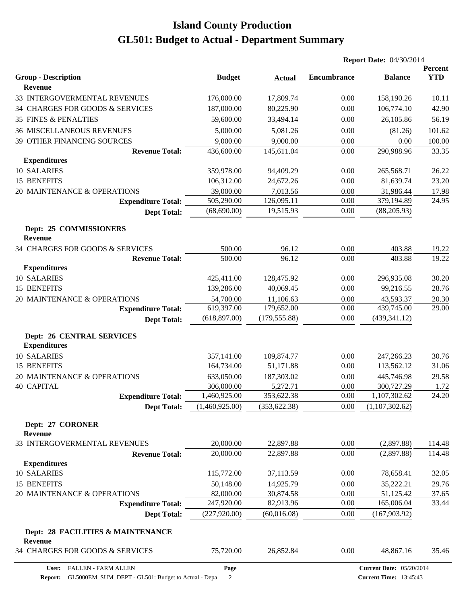|                                                  |                |               | <b>Report Date: 04/30/2014</b> |                                 |                       |
|--------------------------------------------------|----------------|---------------|--------------------------------|---------------------------------|-----------------------|
| <b>Group - Description</b>                       | <b>Budget</b>  | <b>Actual</b> | <b>Encumbrance</b>             | <b>Balance</b>                  | Percent<br><b>YTD</b> |
| <b>Revenue</b>                                   |                |               |                                |                                 |                       |
| 33 INTERGOVERMENTAL REVENUES                     | 176,000.00     | 17,809.74     | 0.00                           | 158,190.26                      | 10.11                 |
| 34 CHARGES FOR GOODS & SERVICES                  | 187,000.00     | 80,225.90     | 0.00                           | 106,774.10                      | 42.90                 |
| <b>35 FINES &amp; PENALTIES</b>                  | 59,600.00      | 33,494.14     | 0.00                           | 26,105.86                       | 56.19                 |
| <b>36 MISCELLANEOUS REVENUES</b>                 | 5,000.00       | 5,081.26      | 0.00                           | (81.26)                         | 101.62                |
| 39 OTHER FINANCING SOURCES                       | 9,000.00       | 9,000.00      | 0.00                           | 0.00                            | 100.00                |
| <b>Revenue Total:</b>                            | 436,600.00     | 145,611.04    | 0.00                           | 290,988.96                      | 33.35                 |
| <b>Expenditures</b>                              |                |               |                                |                                 |                       |
| 10 SALARIES                                      | 359,978.00     | 94,409.29     | 0.00                           | 265,568.71                      | 26.22                 |
| 15 BENEFITS                                      | 106,312.00     | 24,672.26     | 0.00                           | 81,639.74                       | 23.20                 |
| 20 MAINTENANCE & OPERATIONS                      | 39,000.00      | 7,013.56      | 0.00                           | 31,986.44                       | 17.98                 |
| <b>Expenditure Total:</b>                        | 505,290.00     | 126,095.11    | 0.00                           | 379,194.89                      | 24.95                 |
| <b>Dept Total:</b>                               | (68,690.00)    | 19,515.93     | 0.00                           | (88, 205.93)                    |                       |
| Dept: 25 COMMISSIONERS<br><b>Revenue</b>         |                |               |                                |                                 |                       |
| 34 CHARGES FOR GOODS & SERVICES                  | 500.00         | 96.12         | 0.00                           | 403.88                          | 19.22                 |
| <b>Revenue Total:</b>                            | 500.00         | 96.12         | 0.00                           | 403.88                          | 19.22                 |
| <b>Expenditures</b>                              |                |               |                                |                                 |                       |
| 10 SALARIES                                      | 425,411.00     | 128,475.92    | 0.00                           | 296,935.08                      | 30.20                 |
| 15 BENEFITS                                      | 139,286.00     | 40,069.45     | 0.00                           | 99,216.55                       | 28.76                 |
| 20 MAINTENANCE & OPERATIONS                      | 54,700.00      | 11,106.63     | 0.00                           | 43,593.37                       | 20.30                 |
| <b>Expenditure Total:</b>                        | 619,397.00     | 179,652.00    | 0.00                           | 439,745.00                      | 29.00                 |
| <b>Dept Total:</b>                               | (618, 897.00)  | (179, 555.88) | 0.00                           | (439, 341.12)                   |                       |
| Dept: 26 CENTRAL SERVICES<br><b>Expenditures</b> |                |               |                                |                                 |                       |
| 10 SALARIES                                      | 357,141.00     | 109,874.77    | 0.00                           | 247,266.23                      | 30.76                 |
| 15 BENEFITS                                      | 164,734.00     | 51,171.88     | 0.00                           | 113,562.12                      | 31.06                 |
| 20 MAINTENANCE & OPERATIONS                      | 633,050.00     | 187,303.02    | 0.00                           | 445,746.98                      | 29.58                 |
| <b>40 CAPITAL</b>                                | 306,000.00     | 5,272.71      | 0.00                           | 300,727.29                      | 1.72                  |
| <b>Expenditure Total:</b>                        | 1,460,925.00   | 353,622.38    | 0.00                           | 1,107,302.62                    | 24.20                 |
| <b>Dept Total:</b>                               | (1,460,925.00) | (353, 622.38) | 0.00                           | (1,107,302.62)                  |                       |
| Dept: 27 CORONER<br>Revenue                      |                |               |                                |                                 |                       |
| 33 INTERGOVERMENTAL REVENUES                     | 20,000.00      | 22,897.88     | 0.00                           | (2,897.88)                      | 114.48                |
| <b>Revenue Total:</b>                            | 20,000.00      | 22,897.88     | 0.00                           | (2,897.88)                      | 114.48                |
| <b>Expenditures</b>                              |                |               |                                |                                 |                       |
| 10 SALARIES                                      | 115,772.00     | 37,113.59     | 0.00                           | 78,658.41                       | 32.05                 |
| 15 BENEFITS                                      | 50,148.00      | 14,925.79     | 0.00                           | 35,222.21                       | 29.76                 |
| 20 MAINTENANCE & OPERATIONS                      | 82,000.00      | 30,874.58     | 0.00                           | 51,125.42                       | 37.65                 |
| <b>Expenditure Total:</b>                        | 247,920.00     | 82,913.96     | 0.00                           | 165,006.04                      | 33.44                 |
| <b>Dept Total:</b>                               | (227, 920.00)  | (60,016.08)   | 0.00                           | (167, 903.92)                   |                       |
| Dept: 28 FACILITIES & MAINTENANCE<br>Revenue     |                |               |                                |                                 |                       |
| 34 CHARGES FOR GOODS & SERVICES                  | 75,720.00      | 26,852.84     | 0.00                           | 48,867.16                       | 35.46                 |
| FALLEN - FARM ALLEN<br>User:                     | Page           |               |                                | <b>Current Date: 05/20/2014</b> |                       |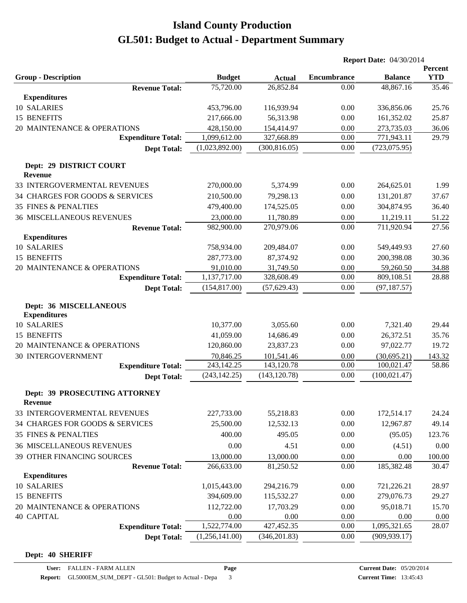| <b>YTD</b><br><b>Group - Description</b><br><b>Encumbrance</b><br><b>Balance</b><br><b>Budget</b><br><b>Actual</b><br>75,720.00<br>26,852.84<br>0.00<br>48,867.16<br><b>Revenue Total:</b><br><b>Expenditures</b><br>10 SALARIES<br>453,796.00<br>116,939.94<br>0.00<br>336,856.06<br>15 BENEFITS<br>217,666.00<br>56,313.98<br>0.00<br>161,352.02<br>20 MAINTENANCE & OPERATIONS<br>428,150.00<br>154,414.97<br>0.00<br>273,735.03<br><b>Expenditure Total:</b><br>1,099,612.00<br>327,668.89<br>0.00<br>771,943.11<br>(1,023,892.00)<br>(300, 816.05)<br>0.00<br>(723, 075.95)<br><b>Dept Total:</b><br>Dept: 29 DISTRICT COURT<br><b>Revenue</b><br>33 INTERGOVERMENTAL REVENUES<br>270,000.00<br>5,374.99<br>0.00<br>264,625.01<br>34 CHARGES FOR GOODS & SERVICES<br>210,500.00<br>79,298.13<br>0.00<br>131,201.87<br><b>35 FINES &amp; PENALTIES</b><br>0.00<br>304,874.95<br>479,400.00<br>174,525.05<br>0.00<br>11,219.11<br><b>36 MISCELLANEOUS REVENUES</b><br>23,000.00<br>11,780.89<br>270,979.06<br>0.00<br>711,920.94<br>982,900.00<br><b>Revenue Total:</b><br><b>Expenditures</b><br><b>10 SALARIES</b><br>758,934.00<br>0.00<br>209,484.07<br>549,449.93<br>15 BENEFITS<br>200,398.08<br>287,773.00<br>87,374.92<br>0.00<br>0.00<br>20 MAINTENANCE & OPERATIONS<br>91,010.00<br>31,749.50<br>59,260.50<br>1,137,717.00<br>0.00<br>328,608.49<br>809,108.51<br>28.88<br><b>Expenditure Total:</b><br>(154, 817.00)<br>(57, 629.43)<br>0.00<br>(97, 187.57)<br><b>Dept Total:</b><br>Dept: 36 MISCELLANEOUS<br><b>Expenditures</b><br>10 SALARIES<br>10,377.00<br>3,055.60<br>0.00<br>7,321.40<br>29.44<br><b>15 BENEFITS</b><br>41,059.00<br>14,686.49<br>0.00<br>26,372.51<br>35.76<br>97,022.77<br>20 MAINTENANCE & OPERATIONS<br>120,860.00<br>23,837.23<br>0.00<br>19.72<br>30 INTERGOVERNMENT<br>70,846.25<br>101,541.46<br>0.00<br>(30, 695.21)<br>143.32<br>243,142.25<br>143,120.78<br>0.00<br>100,021.47<br>58.86<br><b>Expenditure Total:</b><br>(100, 021.47)<br>(243, 142.25)<br>(143, 120.78)<br>0.00<br><b>Dept Total:</b><br>Dept: 39 PROSECUTING ATTORNEY<br><b>Revenue</b><br>33 INTERGOVERMENTAL REVENUES<br>227,733.00<br>0.00<br>172,514.17<br>55,218.83<br>0.00<br>34 CHARGES FOR GOODS & SERVICES<br>25,500.00<br>12,532.13<br>12,967.87<br>0.00<br><b>35 FINES &amp; PENALTIES</b><br>400.00<br>495.05<br>(95.05)<br><b>36 MISCELLANEOUS REVENUES</b><br>0.00<br>4.51<br>0.00<br>0.00<br>(4.51)<br>39 OTHER FINANCING SOURCES<br>13,000.00<br>13,000.00<br>0.00<br>0.00<br>100.00<br>266,633.00<br>0.00<br>185,382.48<br><b>Revenue Total:</b><br>81,250.52<br><b>Expenditures</b><br>10 SALARIES<br>1,015,443.00<br>0.00<br>294,216.79<br>721,226.21<br>15 BENEFITS<br>394,609.00<br>115,532.27<br>0.00<br>279,076.73<br>20 MAINTENANCE & OPERATIONS<br>112,722.00<br>17,703.29<br>0.00<br>95,018.71<br>0.00<br>0.00<br>0.00<br>0.00<br><b>40 CAPITAL</b><br>1,522,774.00<br>427,452.35<br>1,095,321.65<br>0.00<br><b>Expenditure Total:</b><br>(1,256,141.00)<br>0.00<br>(909, 939.17)<br><b>Dept Total:</b><br>(346, 201.83) |  | <b>Report Date: 04/30/2014</b> |  |         |
|------------------------------------------------------------------------------------------------------------------------------------------------------------------------------------------------------------------------------------------------------------------------------------------------------------------------------------------------------------------------------------------------------------------------------------------------------------------------------------------------------------------------------------------------------------------------------------------------------------------------------------------------------------------------------------------------------------------------------------------------------------------------------------------------------------------------------------------------------------------------------------------------------------------------------------------------------------------------------------------------------------------------------------------------------------------------------------------------------------------------------------------------------------------------------------------------------------------------------------------------------------------------------------------------------------------------------------------------------------------------------------------------------------------------------------------------------------------------------------------------------------------------------------------------------------------------------------------------------------------------------------------------------------------------------------------------------------------------------------------------------------------------------------------------------------------------------------------------------------------------------------------------------------------------------------------------------------------------------------------------------------------------------------------------------------------------------------------------------------------------------------------------------------------------------------------------------------------------------------------------------------------------------------------------------------------------------------------------------------------------------------------------------------------------------------------------------------------------------------------------------------------------------------------------------------------------------------------------------------------------------------------------------------------------------------------------------------------------------------------------------------------------------------------------------------------------------------------------------------------------------------------------------------------------------------------------------------------------------------------------------------------------------------------------------------------------|--|--------------------------------|--|---------|
|                                                                                                                                                                                                                                                                                                                                                                                                                                                                                                                                                                                                                                                                                                                                                                                                                                                                                                                                                                                                                                                                                                                                                                                                                                                                                                                                                                                                                                                                                                                                                                                                                                                                                                                                                                                                                                                                                                                                                                                                                                                                                                                                                                                                                                                                                                                                                                                                                                                                                                                                                                                                                                                                                                                                                                                                                                                                                                                                                                                                                                                                        |  |                                |  | Percent |
|                                                                                                                                                                                                                                                                                                                                                                                                                                                                                                                                                                                                                                                                                                                                                                                                                                                                                                                                                                                                                                                                                                                                                                                                                                                                                                                                                                                                                                                                                                                                                                                                                                                                                                                                                                                                                                                                                                                                                                                                                                                                                                                                                                                                                                                                                                                                                                                                                                                                                                                                                                                                                                                                                                                                                                                                                                                                                                                                                                                                                                                                        |  |                                |  | 35.46   |
|                                                                                                                                                                                                                                                                                                                                                                                                                                                                                                                                                                                                                                                                                                                                                                                                                                                                                                                                                                                                                                                                                                                                                                                                                                                                                                                                                                                                                                                                                                                                                                                                                                                                                                                                                                                                                                                                                                                                                                                                                                                                                                                                                                                                                                                                                                                                                                                                                                                                                                                                                                                                                                                                                                                                                                                                                                                                                                                                                                                                                                                                        |  |                                |  |         |
|                                                                                                                                                                                                                                                                                                                                                                                                                                                                                                                                                                                                                                                                                                                                                                                                                                                                                                                                                                                                                                                                                                                                                                                                                                                                                                                                                                                                                                                                                                                                                                                                                                                                                                                                                                                                                                                                                                                                                                                                                                                                                                                                                                                                                                                                                                                                                                                                                                                                                                                                                                                                                                                                                                                                                                                                                                                                                                                                                                                                                                                                        |  |                                |  | 25.76   |
|                                                                                                                                                                                                                                                                                                                                                                                                                                                                                                                                                                                                                                                                                                                                                                                                                                                                                                                                                                                                                                                                                                                                                                                                                                                                                                                                                                                                                                                                                                                                                                                                                                                                                                                                                                                                                                                                                                                                                                                                                                                                                                                                                                                                                                                                                                                                                                                                                                                                                                                                                                                                                                                                                                                                                                                                                                                                                                                                                                                                                                                                        |  |                                |  | 25.87   |
|                                                                                                                                                                                                                                                                                                                                                                                                                                                                                                                                                                                                                                                                                                                                                                                                                                                                                                                                                                                                                                                                                                                                                                                                                                                                                                                                                                                                                                                                                                                                                                                                                                                                                                                                                                                                                                                                                                                                                                                                                                                                                                                                                                                                                                                                                                                                                                                                                                                                                                                                                                                                                                                                                                                                                                                                                                                                                                                                                                                                                                                                        |  |                                |  | 36.06   |
|                                                                                                                                                                                                                                                                                                                                                                                                                                                                                                                                                                                                                                                                                                                                                                                                                                                                                                                                                                                                                                                                                                                                                                                                                                                                                                                                                                                                                                                                                                                                                                                                                                                                                                                                                                                                                                                                                                                                                                                                                                                                                                                                                                                                                                                                                                                                                                                                                                                                                                                                                                                                                                                                                                                                                                                                                                                                                                                                                                                                                                                                        |  |                                |  | 29.79   |
|                                                                                                                                                                                                                                                                                                                                                                                                                                                                                                                                                                                                                                                                                                                                                                                                                                                                                                                                                                                                                                                                                                                                                                                                                                                                                                                                                                                                                                                                                                                                                                                                                                                                                                                                                                                                                                                                                                                                                                                                                                                                                                                                                                                                                                                                                                                                                                                                                                                                                                                                                                                                                                                                                                                                                                                                                                                                                                                                                                                                                                                                        |  |                                |  |         |
|                                                                                                                                                                                                                                                                                                                                                                                                                                                                                                                                                                                                                                                                                                                                                                                                                                                                                                                                                                                                                                                                                                                                                                                                                                                                                                                                                                                                                                                                                                                                                                                                                                                                                                                                                                                                                                                                                                                                                                                                                                                                                                                                                                                                                                                                                                                                                                                                                                                                                                                                                                                                                                                                                                                                                                                                                                                                                                                                                                                                                                                                        |  |                                |  |         |
|                                                                                                                                                                                                                                                                                                                                                                                                                                                                                                                                                                                                                                                                                                                                                                                                                                                                                                                                                                                                                                                                                                                                                                                                                                                                                                                                                                                                                                                                                                                                                                                                                                                                                                                                                                                                                                                                                                                                                                                                                                                                                                                                                                                                                                                                                                                                                                                                                                                                                                                                                                                                                                                                                                                                                                                                                                                                                                                                                                                                                                                                        |  |                                |  |         |
|                                                                                                                                                                                                                                                                                                                                                                                                                                                                                                                                                                                                                                                                                                                                                                                                                                                                                                                                                                                                                                                                                                                                                                                                                                                                                                                                                                                                                                                                                                                                                                                                                                                                                                                                                                                                                                                                                                                                                                                                                                                                                                                                                                                                                                                                                                                                                                                                                                                                                                                                                                                                                                                                                                                                                                                                                                                                                                                                                                                                                                                                        |  |                                |  | 1.99    |
|                                                                                                                                                                                                                                                                                                                                                                                                                                                                                                                                                                                                                                                                                                                                                                                                                                                                                                                                                                                                                                                                                                                                                                                                                                                                                                                                                                                                                                                                                                                                                                                                                                                                                                                                                                                                                                                                                                                                                                                                                                                                                                                                                                                                                                                                                                                                                                                                                                                                                                                                                                                                                                                                                                                                                                                                                                                                                                                                                                                                                                                                        |  |                                |  | 37.67   |
|                                                                                                                                                                                                                                                                                                                                                                                                                                                                                                                                                                                                                                                                                                                                                                                                                                                                                                                                                                                                                                                                                                                                                                                                                                                                                                                                                                                                                                                                                                                                                                                                                                                                                                                                                                                                                                                                                                                                                                                                                                                                                                                                                                                                                                                                                                                                                                                                                                                                                                                                                                                                                                                                                                                                                                                                                                                                                                                                                                                                                                                                        |  |                                |  | 36.40   |
|                                                                                                                                                                                                                                                                                                                                                                                                                                                                                                                                                                                                                                                                                                                                                                                                                                                                                                                                                                                                                                                                                                                                                                                                                                                                                                                                                                                                                                                                                                                                                                                                                                                                                                                                                                                                                                                                                                                                                                                                                                                                                                                                                                                                                                                                                                                                                                                                                                                                                                                                                                                                                                                                                                                                                                                                                                                                                                                                                                                                                                                                        |  |                                |  | 51.22   |
|                                                                                                                                                                                                                                                                                                                                                                                                                                                                                                                                                                                                                                                                                                                                                                                                                                                                                                                                                                                                                                                                                                                                                                                                                                                                                                                                                                                                                                                                                                                                                                                                                                                                                                                                                                                                                                                                                                                                                                                                                                                                                                                                                                                                                                                                                                                                                                                                                                                                                                                                                                                                                                                                                                                                                                                                                                                                                                                                                                                                                                                                        |  |                                |  | 27.56   |
|                                                                                                                                                                                                                                                                                                                                                                                                                                                                                                                                                                                                                                                                                                                                                                                                                                                                                                                                                                                                                                                                                                                                                                                                                                                                                                                                                                                                                                                                                                                                                                                                                                                                                                                                                                                                                                                                                                                                                                                                                                                                                                                                                                                                                                                                                                                                                                                                                                                                                                                                                                                                                                                                                                                                                                                                                                                                                                                                                                                                                                                                        |  |                                |  |         |
|                                                                                                                                                                                                                                                                                                                                                                                                                                                                                                                                                                                                                                                                                                                                                                                                                                                                                                                                                                                                                                                                                                                                                                                                                                                                                                                                                                                                                                                                                                                                                                                                                                                                                                                                                                                                                                                                                                                                                                                                                                                                                                                                                                                                                                                                                                                                                                                                                                                                                                                                                                                                                                                                                                                                                                                                                                                                                                                                                                                                                                                                        |  |                                |  | 27.60   |
|                                                                                                                                                                                                                                                                                                                                                                                                                                                                                                                                                                                                                                                                                                                                                                                                                                                                                                                                                                                                                                                                                                                                                                                                                                                                                                                                                                                                                                                                                                                                                                                                                                                                                                                                                                                                                                                                                                                                                                                                                                                                                                                                                                                                                                                                                                                                                                                                                                                                                                                                                                                                                                                                                                                                                                                                                                                                                                                                                                                                                                                                        |  |                                |  | 30.36   |
|                                                                                                                                                                                                                                                                                                                                                                                                                                                                                                                                                                                                                                                                                                                                                                                                                                                                                                                                                                                                                                                                                                                                                                                                                                                                                                                                                                                                                                                                                                                                                                                                                                                                                                                                                                                                                                                                                                                                                                                                                                                                                                                                                                                                                                                                                                                                                                                                                                                                                                                                                                                                                                                                                                                                                                                                                                                                                                                                                                                                                                                                        |  |                                |  | 34.88   |
|                                                                                                                                                                                                                                                                                                                                                                                                                                                                                                                                                                                                                                                                                                                                                                                                                                                                                                                                                                                                                                                                                                                                                                                                                                                                                                                                                                                                                                                                                                                                                                                                                                                                                                                                                                                                                                                                                                                                                                                                                                                                                                                                                                                                                                                                                                                                                                                                                                                                                                                                                                                                                                                                                                                                                                                                                                                                                                                                                                                                                                                                        |  |                                |  |         |
|                                                                                                                                                                                                                                                                                                                                                                                                                                                                                                                                                                                                                                                                                                                                                                                                                                                                                                                                                                                                                                                                                                                                                                                                                                                                                                                                                                                                                                                                                                                                                                                                                                                                                                                                                                                                                                                                                                                                                                                                                                                                                                                                                                                                                                                                                                                                                                                                                                                                                                                                                                                                                                                                                                                                                                                                                                                                                                                                                                                                                                                                        |  |                                |  |         |
|                                                                                                                                                                                                                                                                                                                                                                                                                                                                                                                                                                                                                                                                                                                                                                                                                                                                                                                                                                                                                                                                                                                                                                                                                                                                                                                                                                                                                                                                                                                                                                                                                                                                                                                                                                                                                                                                                                                                                                                                                                                                                                                                                                                                                                                                                                                                                                                                                                                                                                                                                                                                                                                                                                                                                                                                                                                                                                                                                                                                                                                                        |  |                                |  |         |
|                                                                                                                                                                                                                                                                                                                                                                                                                                                                                                                                                                                                                                                                                                                                                                                                                                                                                                                                                                                                                                                                                                                                                                                                                                                                                                                                                                                                                                                                                                                                                                                                                                                                                                                                                                                                                                                                                                                                                                                                                                                                                                                                                                                                                                                                                                                                                                                                                                                                                                                                                                                                                                                                                                                                                                                                                                                                                                                                                                                                                                                                        |  |                                |  |         |
|                                                                                                                                                                                                                                                                                                                                                                                                                                                                                                                                                                                                                                                                                                                                                                                                                                                                                                                                                                                                                                                                                                                                                                                                                                                                                                                                                                                                                                                                                                                                                                                                                                                                                                                                                                                                                                                                                                                                                                                                                                                                                                                                                                                                                                                                                                                                                                                                                                                                                                                                                                                                                                                                                                                                                                                                                                                                                                                                                                                                                                                                        |  |                                |  |         |
|                                                                                                                                                                                                                                                                                                                                                                                                                                                                                                                                                                                                                                                                                                                                                                                                                                                                                                                                                                                                                                                                                                                                                                                                                                                                                                                                                                                                                                                                                                                                                                                                                                                                                                                                                                                                                                                                                                                                                                                                                                                                                                                                                                                                                                                                                                                                                                                                                                                                                                                                                                                                                                                                                                                                                                                                                                                                                                                                                                                                                                                                        |  |                                |  |         |
|                                                                                                                                                                                                                                                                                                                                                                                                                                                                                                                                                                                                                                                                                                                                                                                                                                                                                                                                                                                                                                                                                                                                                                                                                                                                                                                                                                                                                                                                                                                                                                                                                                                                                                                                                                                                                                                                                                                                                                                                                                                                                                                                                                                                                                                                                                                                                                                                                                                                                                                                                                                                                                                                                                                                                                                                                                                                                                                                                                                                                                                                        |  |                                |  |         |
|                                                                                                                                                                                                                                                                                                                                                                                                                                                                                                                                                                                                                                                                                                                                                                                                                                                                                                                                                                                                                                                                                                                                                                                                                                                                                                                                                                                                                                                                                                                                                                                                                                                                                                                                                                                                                                                                                                                                                                                                                                                                                                                                                                                                                                                                                                                                                                                                                                                                                                                                                                                                                                                                                                                                                                                                                                                                                                                                                                                                                                                                        |  |                                |  |         |
|                                                                                                                                                                                                                                                                                                                                                                                                                                                                                                                                                                                                                                                                                                                                                                                                                                                                                                                                                                                                                                                                                                                                                                                                                                                                                                                                                                                                                                                                                                                                                                                                                                                                                                                                                                                                                                                                                                                                                                                                                                                                                                                                                                                                                                                                                                                                                                                                                                                                                                                                                                                                                                                                                                                                                                                                                                                                                                                                                                                                                                                                        |  |                                |  |         |
|                                                                                                                                                                                                                                                                                                                                                                                                                                                                                                                                                                                                                                                                                                                                                                                                                                                                                                                                                                                                                                                                                                                                                                                                                                                                                                                                                                                                                                                                                                                                                                                                                                                                                                                                                                                                                                                                                                                                                                                                                                                                                                                                                                                                                                                                                                                                                                                                                                                                                                                                                                                                                                                                                                                                                                                                                                                                                                                                                                                                                                                                        |  |                                |  |         |
|                                                                                                                                                                                                                                                                                                                                                                                                                                                                                                                                                                                                                                                                                                                                                                                                                                                                                                                                                                                                                                                                                                                                                                                                                                                                                                                                                                                                                                                                                                                                                                                                                                                                                                                                                                                                                                                                                                                                                                                                                                                                                                                                                                                                                                                                                                                                                                                                                                                                                                                                                                                                                                                                                                                                                                                                                                                                                                                                                                                                                                                                        |  |                                |  |         |
|                                                                                                                                                                                                                                                                                                                                                                                                                                                                                                                                                                                                                                                                                                                                                                                                                                                                                                                                                                                                                                                                                                                                                                                                                                                                                                                                                                                                                                                                                                                                                                                                                                                                                                                                                                                                                                                                                                                                                                                                                                                                                                                                                                                                                                                                                                                                                                                                                                                                                                                                                                                                                                                                                                                                                                                                                                                                                                                                                                                                                                                                        |  |                                |  | 24.24   |
|                                                                                                                                                                                                                                                                                                                                                                                                                                                                                                                                                                                                                                                                                                                                                                                                                                                                                                                                                                                                                                                                                                                                                                                                                                                                                                                                                                                                                                                                                                                                                                                                                                                                                                                                                                                                                                                                                                                                                                                                                                                                                                                                                                                                                                                                                                                                                                                                                                                                                                                                                                                                                                                                                                                                                                                                                                                                                                                                                                                                                                                                        |  |                                |  | 49.14   |
|                                                                                                                                                                                                                                                                                                                                                                                                                                                                                                                                                                                                                                                                                                                                                                                                                                                                                                                                                                                                                                                                                                                                                                                                                                                                                                                                                                                                                                                                                                                                                                                                                                                                                                                                                                                                                                                                                                                                                                                                                                                                                                                                                                                                                                                                                                                                                                                                                                                                                                                                                                                                                                                                                                                                                                                                                                                                                                                                                                                                                                                                        |  |                                |  | 123.76  |
|                                                                                                                                                                                                                                                                                                                                                                                                                                                                                                                                                                                                                                                                                                                                                                                                                                                                                                                                                                                                                                                                                                                                                                                                                                                                                                                                                                                                                                                                                                                                                                                                                                                                                                                                                                                                                                                                                                                                                                                                                                                                                                                                                                                                                                                                                                                                                                                                                                                                                                                                                                                                                                                                                                                                                                                                                                                                                                                                                                                                                                                                        |  |                                |  |         |
|                                                                                                                                                                                                                                                                                                                                                                                                                                                                                                                                                                                                                                                                                                                                                                                                                                                                                                                                                                                                                                                                                                                                                                                                                                                                                                                                                                                                                                                                                                                                                                                                                                                                                                                                                                                                                                                                                                                                                                                                                                                                                                                                                                                                                                                                                                                                                                                                                                                                                                                                                                                                                                                                                                                                                                                                                                                                                                                                                                                                                                                                        |  |                                |  |         |
|                                                                                                                                                                                                                                                                                                                                                                                                                                                                                                                                                                                                                                                                                                                                                                                                                                                                                                                                                                                                                                                                                                                                                                                                                                                                                                                                                                                                                                                                                                                                                                                                                                                                                                                                                                                                                                                                                                                                                                                                                                                                                                                                                                                                                                                                                                                                                                                                                                                                                                                                                                                                                                                                                                                                                                                                                                                                                                                                                                                                                                                                        |  |                                |  | 30.47   |
|                                                                                                                                                                                                                                                                                                                                                                                                                                                                                                                                                                                                                                                                                                                                                                                                                                                                                                                                                                                                                                                                                                                                                                                                                                                                                                                                                                                                                                                                                                                                                                                                                                                                                                                                                                                                                                                                                                                                                                                                                                                                                                                                                                                                                                                                                                                                                                                                                                                                                                                                                                                                                                                                                                                                                                                                                                                                                                                                                                                                                                                                        |  |                                |  |         |
|                                                                                                                                                                                                                                                                                                                                                                                                                                                                                                                                                                                                                                                                                                                                                                                                                                                                                                                                                                                                                                                                                                                                                                                                                                                                                                                                                                                                                                                                                                                                                                                                                                                                                                                                                                                                                                                                                                                                                                                                                                                                                                                                                                                                                                                                                                                                                                                                                                                                                                                                                                                                                                                                                                                                                                                                                                                                                                                                                                                                                                                                        |  |                                |  | 28.97   |
|                                                                                                                                                                                                                                                                                                                                                                                                                                                                                                                                                                                                                                                                                                                                                                                                                                                                                                                                                                                                                                                                                                                                                                                                                                                                                                                                                                                                                                                                                                                                                                                                                                                                                                                                                                                                                                                                                                                                                                                                                                                                                                                                                                                                                                                                                                                                                                                                                                                                                                                                                                                                                                                                                                                                                                                                                                                                                                                                                                                                                                                                        |  |                                |  | 29.27   |
|                                                                                                                                                                                                                                                                                                                                                                                                                                                                                                                                                                                                                                                                                                                                                                                                                                                                                                                                                                                                                                                                                                                                                                                                                                                                                                                                                                                                                                                                                                                                                                                                                                                                                                                                                                                                                                                                                                                                                                                                                                                                                                                                                                                                                                                                                                                                                                                                                                                                                                                                                                                                                                                                                                                                                                                                                                                                                                                                                                                                                                                                        |  |                                |  | 15.70   |
|                                                                                                                                                                                                                                                                                                                                                                                                                                                                                                                                                                                                                                                                                                                                                                                                                                                                                                                                                                                                                                                                                                                                                                                                                                                                                                                                                                                                                                                                                                                                                                                                                                                                                                                                                                                                                                                                                                                                                                                                                                                                                                                                                                                                                                                                                                                                                                                                                                                                                                                                                                                                                                                                                                                                                                                                                                                                                                                                                                                                                                                                        |  |                                |  | 0.00    |
|                                                                                                                                                                                                                                                                                                                                                                                                                                                                                                                                                                                                                                                                                                                                                                                                                                                                                                                                                                                                                                                                                                                                                                                                                                                                                                                                                                                                                                                                                                                                                                                                                                                                                                                                                                                                                                                                                                                                                                                                                                                                                                                                                                                                                                                                                                                                                                                                                                                                                                                                                                                                                                                                                                                                                                                                                                                                                                                                                                                                                                                                        |  |                                |  | 28.07   |
|                                                                                                                                                                                                                                                                                                                                                                                                                                                                                                                                                                                                                                                                                                                                                                                                                                                                                                                                                                                                                                                                                                                                                                                                                                                                                                                                                                                                                                                                                                                                                                                                                                                                                                                                                                                                                                                                                                                                                                                                                                                                                                                                                                                                                                                                                                                                                                                                                                                                                                                                                                                                                                                                                                                                                                                                                                                                                                                                                                                                                                                                        |  |                                |  |         |

#### **Dept: 40 SHERIFF**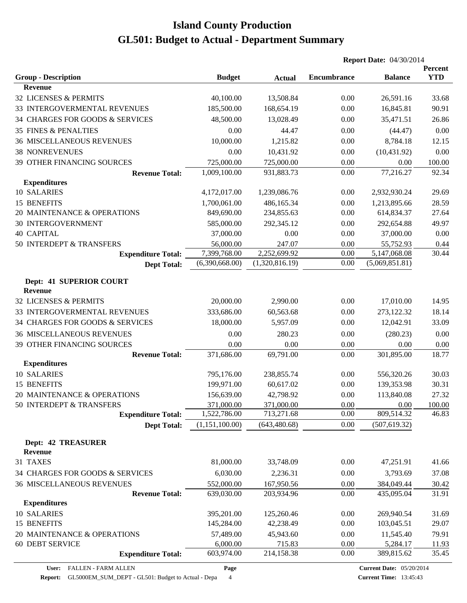|                                              |                |                | <b>Report Date: 04/30/2014</b> |                |                       |
|----------------------------------------------|----------------|----------------|--------------------------------|----------------|-----------------------|
| <b>Group - Description</b>                   | <b>Budget</b>  | <b>Actual</b>  | <b>Encumbrance</b>             | <b>Balance</b> | Percent<br><b>YTD</b> |
| <b>Revenue</b>                               |                |                |                                |                |                       |
| 32 LICENSES & PERMITS                        | 40,100.00      | 13,508.84      | 0.00                           | 26,591.16      | 33.68                 |
| 33 INTERGOVERMENTAL REVENUES                 | 185,500.00     | 168,654.19     | 0.00                           | 16,845.81      | 90.91                 |
| 34 CHARGES FOR GOODS & SERVICES              | 48,500.00      | 13,028.49      | 0.00                           | 35,471.51      | 26.86                 |
| 35 FINES & PENALTIES                         | 0.00           | 44.47          | 0.00                           | (44.47)        | 0.00                  |
| <b>36 MISCELLANEOUS REVENUES</b>             | 10,000.00      | 1,215.82       | 0.00                           | 8,784.18       | 12.15                 |
| <b>38 NONREVENUES</b>                        | 0.00           | 10,431.92      | 0.00                           | (10, 431.92)   | 0.00                  |
| 39 OTHER FINANCING SOURCES                   | 725,000.00     | 725,000.00     | 0.00                           | 0.00           | 100.00                |
| <b>Revenue Total:</b>                        | 1,009,100.00   | 931,883.73     | 0.00                           | 77,216.27      | 92.34                 |
| <b>Expenditures</b>                          |                |                |                                |                |                       |
| 10 SALARIES                                  | 4,172,017.00   | 1,239,086.76   | 0.00                           | 2,932,930.24   | 29.69                 |
| 15 BENEFITS                                  | 1,700,061.00   | 486,165.34     | 0.00                           | 1,213,895.66   | 28.59                 |
| 20 MAINTENANCE & OPERATIONS                  | 849,690.00     | 234,855.63     | 0.00                           | 614,834.37     | 27.64                 |
| <b>30 INTERGOVERNMENT</b>                    | 585,000.00     | 292,345.12     | 0.00                           | 292,654.88     | 49.97                 |
| <b>40 CAPITAL</b>                            | 37,000.00      | 0.00           | 0.00                           | 37,000.00      | 0.00                  |
| 50 INTERDEPT & TRANSFERS                     | 56,000.00      | 247.07         | 0.00                           | 55,752.93      | 0.44                  |
| <b>Expenditure Total:</b>                    | 7,399,768.00   | 2,252,699.92   | 0.00                           | 5,147,068.08   | 30.44                 |
| <b>Dept Total:</b>                           | (6,390,668.00) | (1,320,816.19) | 0.00                           | (5,069,851.81) |                       |
| Dept: 41 SUPERIOR COURT<br><b>Revenue</b>    |                |                |                                |                |                       |
| 32 LICENSES & PERMITS                        | 20,000.00      | 2,990.00       | 0.00                           | 17,010.00      | 14.95                 |
| 33 INTERGOVERMENTAL REVENUES                 | 333,686.00     | 60,563.68      | 0.00                           | 273,122.32     | 18.14                 |
| 34 CHARGES FOR GOODS & SERVICES              | 18,000.00      | 5,957.09       | 0.00                           | 12,042.91      | 33.09                 |
| <b>36 MISCELLANEOUS REVENUES</b>             | 0.00           | 280.23         | 0.00                           | (280.23)       | 0.00                  |
| 39 OTHER FINANCING SOURCES                   | 0.00           | 0.00           | 0.00                           | 0.00           | 0.00                  |
| <b>Revenue Total:</b>                        | 371,686.00     | 69,791.00      | 0.00                           | 301,895.00     | 18.77                 |
| <b>Expenditures</b>                          |                |                |                                |                |                       |
| 10 SALARIES                                  | 795,176.00     | 238,855.74     | 0.00                           | 556,320.26     | 30.03                 |
| 15 BENEFITS                                  | 199,971.00     | 60,617.02      | 0.00                           | 139,353.98     | 30.31                 |
| 20 MAINTENANCE & OPERATIONS                  | 156,639.00     | 42,798.92      | 0.00                           | 113,840.08     | 27.32                 |
| 50 INTERDEPT & TRANSFERS                     | 371,000.00     | 371,000.00     | 0.00                           | 0.00           | 100.00                |
| <b>Expenditure Total:</b>                    | 1,522,786.00   | 713,271.68     | 0.00                           | 809,514.32     | 46.83                 |
| <b>Dept Total:</b>                           | (1,151,100.00) | (643, 480.68)  | 0.00                           | (507, 619.32)  |                       |
| <b>Dept: 42 TREASURER</b><br><b>Revenue</b>  |                |                |                                |                |                       |
| 31 TAXES                                     | 81,000.00      | 33,748.09      | 0.00                           | 47,251.91      | 41.66                 |
| 34 CHARGES FOR GOODS & SERVICES              | 6,030.00       | 2,236.31       | 0.00                           | 3,793.69       | 37.08                 |
| <b>36 MISCELLANEOUS REVENUES</b>             | 552,000.00     | 167,950.56     | 0.00                           | 384,049.44     | 30.42                 |
| <b>Revenue Total:</b><br><b>Expenditures</b> | 639,030.00     | 203,934.96     | 0.00                           | 435,095.04     | 31.91                 |
| 10 SALARIES                                  | 395,201.00     | 125,260.46     | 0.00                           | 269,940.54     | 31.69                 |
| 15 BENEFITS                                  | 145,284.00     | 42,238.49      | 0.00                           | 103,045.51     | 29.07                 |
| 20 MAINTENANCE & OPERATIONS                  | 57,489.00      | 45,943.60      | 0.00                           | 11,545.40      | 79.91                 |
| <b>60 DEBT SERVICE</b>                       | 6,000.00       | 715.83         | 0.00                           | 5,284.17       | 11.93                 |
| <b>Expenditure Total:</b>                    | 603,974.00     | 214,158.38     | 0.00                           | 389,815.62     | 35.45                 |

**Page**

**Report:** GL5000EM\_SUM\_DEPT - GL501: Budget to Actual - Depa 4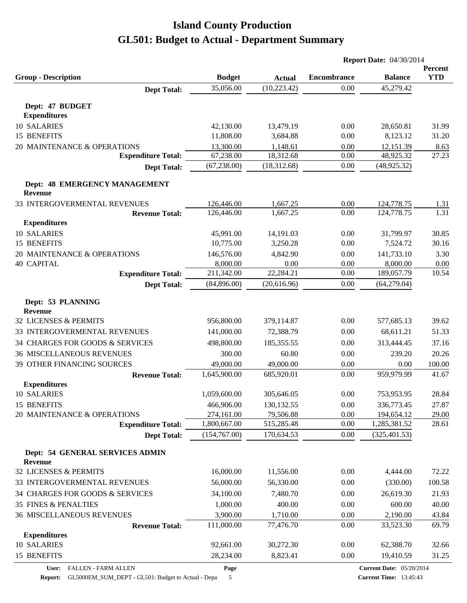|                                                   |               |               | <b>Report Date: 04/30/2014</b> |                                 |            |
|---------------------------------------------------|---------------|---------------|--------------------------------|---------------------------------|------------|
|                                                   |               |               |                                |                                 | Percent    |
| <b>Group - Description</b>                        | <b>Budget</b> | <b>Actual</b> | <b>Encumbrance</b>             | <b>Balance</b>                  | <b>YTD</b> |
| <b>Dept Total:</b>                                | 35,056.00     | (10, 223.42)  | 0.00                           | 45,279.42                       |            |
| Dept: 47 BUDGET                                   |               |               |                                |                                 |            |
| <b>Expenditures</b>                               |               |               |                                |                                 |            |
| 10 SALARIES                                       | 42,130.00     | 13,479.19     | 0.00                           | 28,650.81                       | 31.99      |
| 15 BENEFITS                                       | 11,808.00     | 3,684.88      | 0.00                           | 8,123.12                        | 31.20      |
| 20 MAINTENANCE & OPERATIONS                       | 13,300.00     | 1,148.61      | 0.00                           | 12,151.39                       | 8.63       |
| <b>Expenditure Total:</b>                         | 67,238.00     | 18,312.68     | 0.00                           | 48,925.32                       | 27.23      |
| <b>Dept Total:</b>                                | (67, 238.00)  | (18,312.68)   | 0.00                           | (48, 925.32)                    |            |
| Dept: 48 EMERGENCY MANAGEMENT<br>Revenue          |               |               |                                |                                 |            |
| 33 INTERGOVERMENTAL REVENUES                      | 126,446.00    | 1,667.25      | 0.00                           | 124,778.75                      | 1.31       |
| <b>Revenue Total:</b>                             | 126,446.00    | 1,667.25      | 0.00                           | 124,778.75                      | 1.31       |
| <b>Expenditures</b>                               |               |               |                                |                                 |            |
| 10 SALARIES                                       | 45,991.00     | 14,191.03     | 0.00                           | 31,799.97                       | 30.85      |
| 15 BENEFITS                                       | 10,775.00     | 3,250.28      | 0.00                           | 7,524.72                        | 30.16      |
| 20 MAINTENANCE & OPERATIONS                       | 146,576.00    | 4,842.90      | 0.00                           | 141,733.10                      | 3.30       |
| <b>40 CAPITAL</b>                                 | 8,000.00      | 0.00          | 0.00                           | 8,000.00                        | 0.00       |
| <b>Expenditure Total:</b>                         | 211,342.00    | 22,284.21     | 0.00                           | 189,057.79                      | 10.54      |
| <b>Dept Total:</b>                                | (84,896.00)   | (20,616.96)   | 0.00                           | (64,279.04)                     |            |
| Dept: 53 PLANNING<br><b>Revenue</b>               |               |               |                                |                                 |            |
| 32 LICENSES & PERMITS                             | 956,800.00    | 379,114.87    | 0.00                           | 577,685.13                      | 39.62      |
| 33 INTERGOVERMENTAL REVENUES                      | 141,000.00    | 72,388.79     | 0.00                           | 68,611.21                       | 51.33      |
| 34 CHARGES FOR GOODS & SERVICES                   | 498,800.00    | 185, 355.55   | 0.00                           | 313,444.45                      | 37.16      |
| <b>36 MISCELLANEOUS REVENUES</b>                  | 300.00        | 60.80         | 0.00                           | 239.20                          | 20.26      |
| 39 OTHER FINANCING SOURCES                        | 49,000.00     | 49,000.00     | 0.00                           | 0.00                            | 100.00     |
| <b>Revenue Total:</b>                             | 1,645,900.00  | 685,920.01    | 0.00                           | 959,979.99                      | 41.67      |
| <b>Expenditures</b>                               |               |               |                                |                                 |            |
| 10 SALARIES                                       | 1,059,600.00  | 305,646.05    | 0.00                           | 753,953.95                      | 28.84      |
| 15 BENEFITS                                       | 466,906.00    | 130,132.55    | 0.00                           | 336,773.45                      | 27.87      |
| 20 MAINTENANCE & OPERATIONS                       | 274,161.00    | 79,506.88     | 0.00                           | 194,654.12                      | 29.00      |
| <b>Expenditure Total:</b>                         | 1,800,667.00  | 515,285.48    | 0.00                           | 1,285,381.52                    | 28.61      |
| <b>Dept Total:</b>                                | (154,767.00)  | 170,634.53    | 0.00                           | (325, 401.53)                   |            |
| Dept: 54 GENERAL SERVICES ADMIN<br><b>Revenue</b> |               |               |                                |                                 |            |
| 32 LICENSES & PERMITS                             | 16,000.00     | 11,556.00     | 0.00                           | 4,444.00                        | 72.22      |
| 33 INTERGOVERMENTAL REVENUES                      | 56,000.00     | 56,330.00     | 0.00                           | (330.00)                        | 100.58     |
| 34 CHARGES FOR GOODS & SERVICES                   | 34,100.00     | 7,480.70      | 0.00                           | 26,619.30                       | 21.93      |
| <b>35 FINES &amp; PENALTIES</b>                   | 1,000.00      | 400.00        | 0.00                           | 600.00                          | 40.00      |
| <b>36 MISCELLANEOUS REVENUES</b>                  | 3,900.00      | 1,710.00      | 0.00                           | 2,190.00                        | 43.84      |
| <b>Revenue Total:</b>                             | 111,000.00    | 77,476.70     | 0.00                           | 33,523.30                       | 69.79      |
| <b>Expenditures</b>                               |               |               |                                |                                 |            |
| 10 SALARIES                                       | 92,661.00     | 30,272.30     | 0.00                           | 62,388.70                       | 32.66      |
| 15 BENEFITS                                       | 28,234.00     | 8,823.41      | 0.00                           | 19,410.59                       | 31.25      |
| User: FALLEN - FARM ALLEN                         | Page          |               |                                | <b>Current Date: 05/20/2014</b> |            |

**Report:** GL5000EM\_SUM\_DEPT - GL501: Budget to Actual - Depa 5